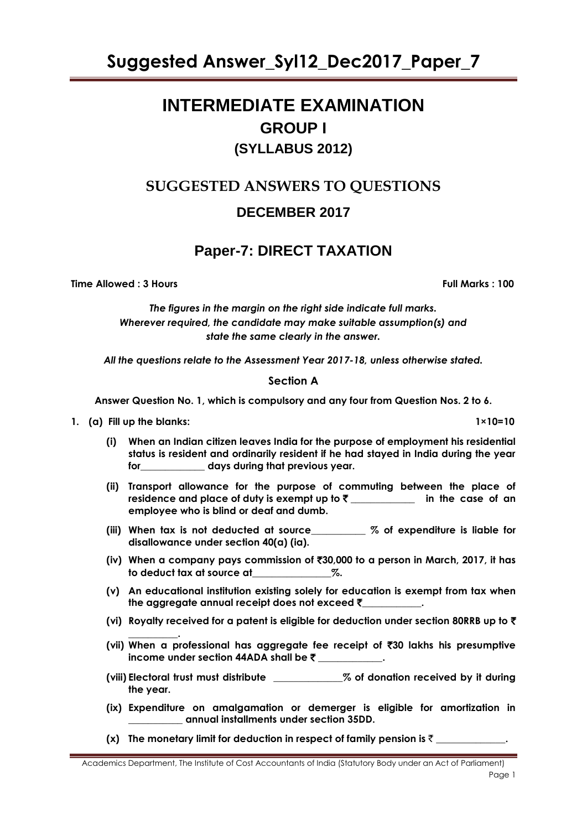# **INTERMEDIATE EXAMINATION GROUP I (SYLLABUS 2012)**

# **SUGGESTED ANSWERS TO QUESTIONS DECEMBER 2017**

# **Paper-7: DIRECT TAXATION**

**Time Allowed : 3 Hours Full Marks : 100** 

*The figures in the margin on the right side indicate full marks. Wherever required, the candidate may make suitable assumption(s) and state the same clearly in the answer.*

*All the questions relate to the Assessment Year 2017-18, unless otherwise stated.*

# **Section A**

**Answer Question No. 1, which is compulsory and any four from Question Nos. 2 to 6.**

# **1. (a) Fill up the blanks: 1×10=10**

**(i) When an Indian citizen leaves India for the purpose of employment his residential status is resident and ordinarily resident if he had stayed in India during the year for\_\_\_\_\_\_\_\_\_\_\_\_\_ days during that previous year.**

- **(ii) Transport allowance for the purpose of commuting between the place of residence and place of duty is exempt up to** ` **\_\_\_\_\_\_\_\_\_\_\_\_\_ in the case of an employee who is blind or deaf and dumb.**
- **(iii) When tax is not deducted at source\_\_\_\_\_\_\_\_\_\_\_ % of expenditure is liable for disallowance under section 40(a) (ia).**
- **(iv) When a company pays commission of** `**30,000 to a person in March, 2017, it has to deduct tax at source at\_\_\_\_\_\_\_\_\_\_\_\_\_\_\_\_%.**
- **(v) An educational institution existing solely for education is exempt from tax when the aggregate annual receipt does not exceed** `**\_\_\_\_\_\_\_\_\_\_\_\_.**
- **(vi) Royalty received for a patent is eligible for deduction under section 80RRB up to** `
- **\_\_\_\_\_\_\_\_\_\_. (vii) When a professional has aggregate fee receipt of** `**30 lakhs his presumptive income under section 44ADA shall be** ` **\_\_\_\_\_\_\_\_\_\_\_\_\_.**
- **(viii) Electoral trust must distribute \_\_\_\_\_\_\_\_\_\_\_\_\_\_% of donation received by it during the year.**
- **(ix) Expenditure on amalgamation or demerger is eligible for amortization in \_\_\_\_\_\_\_\_\_\_\_ annual installments under section 35DD.**
- **(x)** The monetary limit for deduction in respect of family pension is  $\bar{\tau}$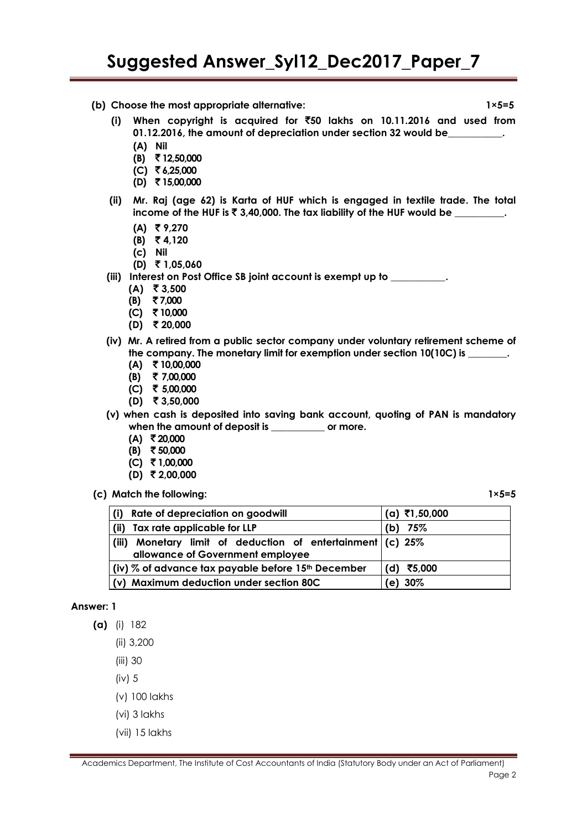**(b) Choose the most appropriate alternative: 1×5=5**

**(i) When copyright is acquired for** `**50 lakhs on 10.11.2016 and used from 01.12.2016, the amount of depreciation under section 32 would be\_\_\_\_\_\_\_\_\_\_\_.**

- **(A) Nil**
- **(B)** ` **12,50,000**
- **(C)** ` **6,25,000**
- **(D)** ` **15,00,000**
- **(ii) Mr. Raj (age 62) is Karta of HUF which is engaged in textile trade. The total income of the HUF is ₹ 3,40,000. The tax liability of the HUF would be**  $\qquad \qquad$ **.** 
	- **(A)** ` **9,270**
	- **(B)** ` **4,120**
	- **(c) Nil**
	- **(D)** ` **1,05,060**

**(iii) Interest on Post Office SB joint account is exempt up to \_\_\_\_\_\_\_\_\_\_\_.**

- $(A)$  ₹ 3,500
- **(B)** ` **7,000**
- **(C)** ` **10,000**
- **(D)** ` **20,000**
- **(iv) Mr. A retired from a public sector company under voluntary retirement scheme of**  the company. The monetary limit for exemption under section 10(10C) is \_\_\_\_\_\_\_\_\_\_
	- **(A)** ` **10,00,000**
	- **(B)** ` **7,00,000**
	- **(C)** ` **5,00,000**
	- **(D)** ` **3,50,000**
- **(v) when cash is deposited into saving bank account, quoting of PAN is mandatory when the amount of deposit is \_\_\_\_\_\_\_\_\_\_\_ or more.**
	- **(A)** ` **20,000**
	- **(B)** ` **50,000**
	- **(C)** ` **1,00,000**
	- **(D)** ` **2,00,000**
- **(c) Match the following: 1×5=5**

| Rate of depreciation on goodwill<br>(i)                                                             | (a) ₹1,50,000 |
|-----------------------------------------------------------------------------------------------------|---------------|
| Tax rate applicable for LLP<br>(ii)                                                                 | (b) $75%$     |
| Monetary limit of deduction of entertainment $(c)$ 25%<br>(iii)<br>allowance of Government employee |               |
|                                                                                                     |               |
| (iv) $\%$ of advance tax payable before 15 <sup>th</sup> December                                   | (d) ₹5,000    |
| (v) Maximum deduction under section 80C                                                             | (e) 30%       |

#### **Answer: 1**

- **(a)** (i) 182
	- (ii) 3,200
	- (iii) 30
	- (iv) 5
	- (v) 100 lakhs
	- (vi) 3 lakhs
	- (vii) 15 lakhs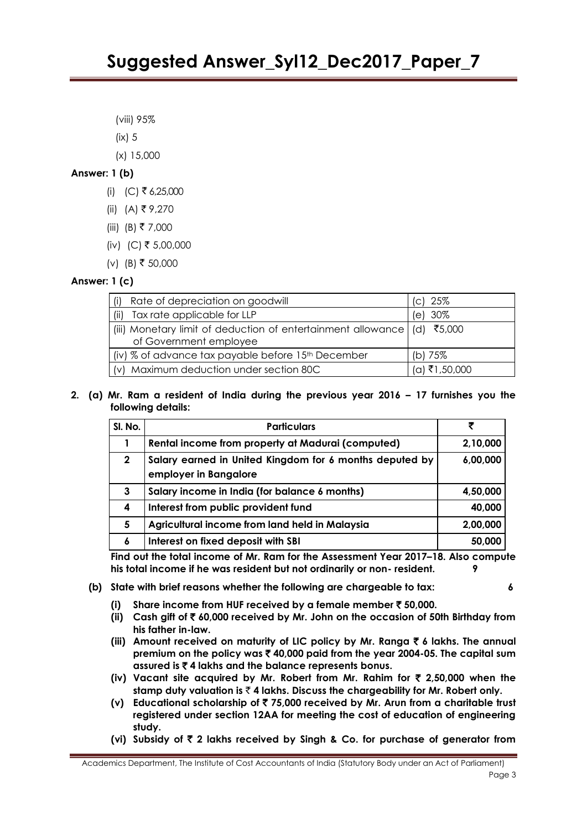(viii) 95%

- (ix) 5
- (x) 15,000

# **Answer: 1 (b)**

- (i) (C) ₹ 6,25,000
- (ii) (A) ₹9,270
- (iii) (B) ₹ 7,000
- (iv) (C) ₹ 5,00,000
- (v) (B) ₹ 50,000

# **Answer: 1 (c)**

| Rate of depreciation on goodwill                                                                          | (c) 25%       |
|-----------------------------------------------------------------------------------------------------------|---------------|
| Tax rate applicable for LLP<br>(ii)                                                                       | (e) 30%       |
| (iii) Monetary limit of deduction of entertainment allowance $\vert$ (d) ₹5,000<br>of Government employee |               |
| (iv) % of advance tax payable before 15th December                                                        | (b) $75\%$    |
| (v) Maximum deduction under section 80C                                                                   | (a) ₹1,50,000 |

### **2. (a) Mr. Ram a resident of India during the previous year 2016 – 17 furnishes you the following details:**

| SI. No.      | <b>Particulars</b>                                                               | ₹        |
|--------------|----------------------------------------------------------------------------------|----------|
|              | Rental income from property at Madurai (computed)                                | 2,10,000 |
| $\mathbf{2}$ | Salary earned in United Kingdom for 6 months deputed by<br>employer in Bangalore | 6,00,000 |
| 3            | Salary income in India (for balance 6 months)                                    | 4,50,000 |
| 4            | Interest from public provident fund                                              | 40,000   |
| 5            | Agricultural income from land held in Malaysia                                   | 2,00,000 |
| 6            | Interest on fixed deposit with SBI                                               | 50,000   |

**Find out the total income of Mr. Ram for the Assessment Year 2017–18. Also compute his total income if he was resident but not ordinarily or non- resident. 9**

- **(b) State with brief reasons whether the following are chargeable to tax: 6**
	- **(i) Share income from HUF received by a female member** ` **50,000.**
	- **(ii) Cash gift of** ` **60,000 received by Mr. John on the occasion of 50th Birthday from his father in-law.**
	- (iii) Amount received on maturity of LIC policy by Mr. Ranga ₹ 6 lakhs. The annual **premium on the policy was** ` **40,000 paid from the year 2004-05. The capital sum assured is** ` **4 lakhs and the balance represents bonus.**
	- **(iv) Vacant site acquired by Mr. Robert from Mr. Rahim for** ` **2,50,000 when the stamp duty valuation is** ` **4 lakhs. Discuss the chargeability for Mr. Robert only.**
	- **(v) Educational scholarship of** ` **75,000 received by Mr. Arun from a charitable trust registered under section 12AA for meeting the cost of education of engineering study.**
	- **(vi) Subsidy of** ` **2 lakhs received by Singh & Co. for purchase of generator from**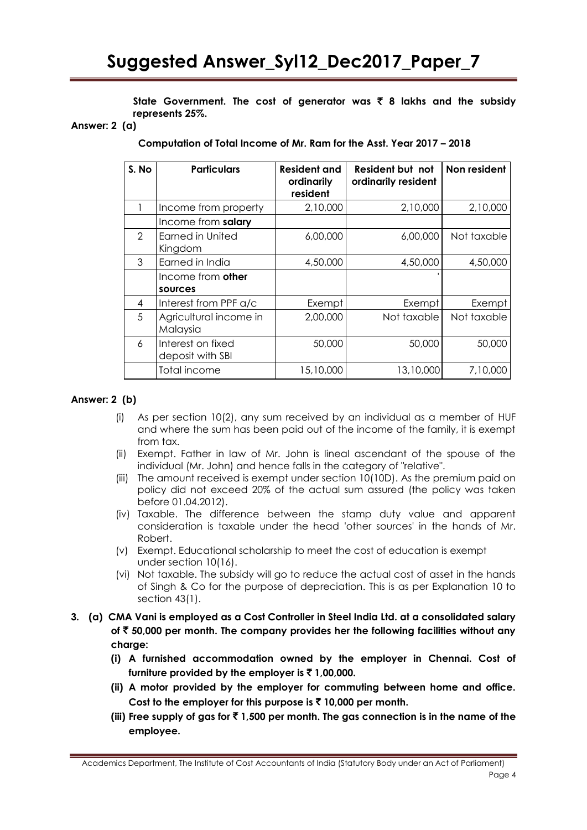**State Government. The cost of generator was** ` **8 lakhs and the subsidy represents 25%.**

#### **Answer: 2 (a)**

**Computation of Total Income of Mr. Ram for the Asst. Year 2017 – 2018**

| S. No         | <b>Particulars</b>                    | <b>Resident and</b><br>ordinarily<br>resident | Resident but not<br>ordinarily resident | Non resident |
|---------------|---------------------------------------|-----------------------------------------------|-----------------------------------------|--------------|
|               | Income from property                  | 2,10,000                                      | 2,10,000                                | 2,10,000     |
|               | Income from salary                    |                                               |                                         |              |
| $\mathcal{P}$ | <b>Earned in United</b><br>Kingdom    | 6,00,000                                      | 6,00,000                                | Not taxable  |
| 3             | Earned in India                       | 4,50,000                                      | 4,50,000                                | 4,50,000     |
|               | Income from other<br>sources          |                                               |                                         |              |
| 4             | Interest from PPF a/c                 | Exempt                                        | Exempt                                  | Exempt       |
| 5             | Agricultural income in<br>Malaysia    | 2,00,000                                      | Not taxable                             | Not taxable  |
| 6             | Interest on fixed<br>deposit with SBI | 50,000                                        | 50,000                                  | 50,000       |
|               | Total income                          | 15,10,000                                     | 13,10,000                               | 7,10,000     |

### **Answer: 2 (b)**

- (i) As per section 10(2), any sum received by an individual as a member of HUF and where the sum has been paid out of the income of the family, it is exempt from tax.
- (ii) Exempt. Father in law of Mr. John is lineal ascendant of the spouse of the individual (Mr. John) and hence falls in the category of "relative".
- (iii) The amount received is exempt under section 10(10D). As the premium paid on policy did not exceed 20% of the actual sum assured (the policy was taken before 01.04.2012).
- (iv) Taxable. The difference between the stamp duty value and apparent consideration is taxable under the head 'other sources' in the hands of Mr. Robert.
- (v) Exempt. Educational scholarship to meet the cost of education is exempt under section 10(16).
- (vi) Not taxable. The subsidy will go to reduce the actual cost of asset in the hands of Singh & Co for the purpose of depreciation. This is as per Explanation 10 to section 43(1).
- **3. (a) CMA Vani is employed as a Cost Controller in Steel India Ltd. at a consolidated salary of** ` **50,000 per month. The company provides her the following facilities without any charge:**
	- **(i) A furnished accommodation owned by the employer in Chennai. Cost of**  furniture provided by the employer is  $\bar{f}$  1,00,000.
	- **(ii) A motor provided by the employer for commuting between home and office. Cost to the employer for this purpose is** ` **10,000 per month.**
	- (iii) Free supply of gas for  $\bar{x}$  1,500 per month. The gas connection is in the name of the **employee.**

Academics Department, The Institute of Cost Accountants of India (Statutory Body under an Act of Parliament)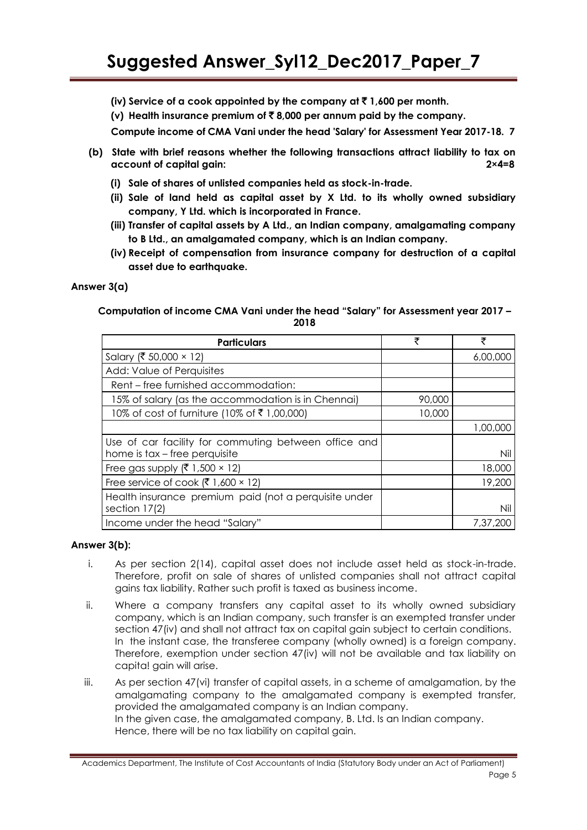- **(iv) Service of a cook appointed by the company at** ` **1,600 per month.**
- **(v) Health insurance premium of** ` **8,000 per annum paid by the company.**

**Compute income of CMA Vani under the head 'Salary' for Assessment Year 2017-18. 7**

- **(b) State with brief reasons whether the following transactions attract liability to tax on account of capital gain: 2×4=8**
	- **(i) Sale of shares of unlisted companies held as stock-in-trade.**
	- **(ii) Sale of land held as capital asset by X Ltd. to its wholly owned subsidiary company, Y Ltd. which is incorporated in France.**
	- **(iii) Transfer of capital assets by A Ltd., an Indian company, amalgamating company to B Ltd., an amalgamated company, which is an Indian company.**
	- **(iv) Receipt of compensation from insurance company for destruction of a capital asset due to earthquake.**

### **Answer 3(a)**

#### **Computation of income CMA Vani under the head "Salary" for Assessment year 2017 – 2018**

| <b>Particulars</b>                                                                    | ₹      | ₹        |
|---------------------------------------------------------------------------------------|--------|----------|
| Salary (₹ 50,000 × 12)                                                                |        | 6,00,000 |
| Add: Value of Perquisites                                                             |        |          |
| Rent – free furnished accommodation:                                                  |        |          |
| 15% of salary (as the accommodation is in Chennai)                                    | 90,000 |          |
| 10% of cost of furniture (10% of ₹1,00,000)                                           | 10,000 |          |
|                                                                                       |        | 1,00,000 |
| Use of car facility for commuting between office and<br>home is tax – free perquisite |        | Nil      |
| Free gas supply ( $\bar{\xi}$ 1,500 × 12)                                             |        | 18,000   |
| Free service of cook $(\overline{5}, 1,600 \times 12)$                                |        | 19,200   |
| Health insurance premium paid (not a perquisite under<br>section 17(2)                |        | Nil      |
| Income under the head "Salary"                                                        |        | 7,37,200 |

# **Answer 3(b):**

- i. As per section 2(14), capital asset does not include asset held as stock-in-trade. Therefore, profit on sale of shares of unlisted companies shall not attract capital gains tax liability. Rather such profit is taxed as business income.
- ii. Where a company transfers any capital asset to its wholly owned subsidiary company, which is an Indian company, such transfer is an exempted transfer under section 47(iv) and shall not attract tax on capital gain subject to certain conditions. In the instant case, the transferee company (wholly owned) is a foreign company. Therefore, exemption under section 47(iv) will not be available and tax liability on capita! gain will arise.
- iii. As per section 47(vi) transfer of capital assets, in a scheme of amalgamation, by the amalgamating company to the amalgamated company is exempted transfer, provided the amalgamated company is an Indian company. In the given case, the amalgamated company, B. Ltd. Is an Indian company. Hence, there will be no tax liability on capital gain.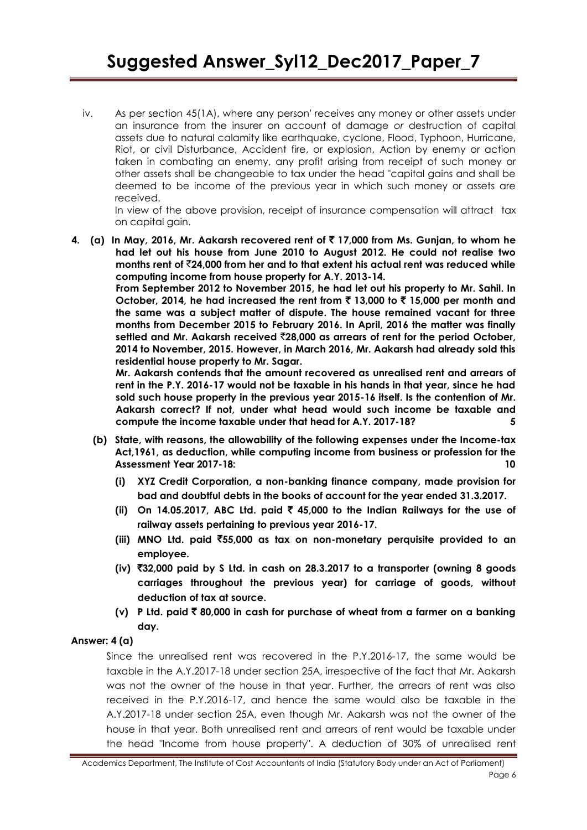iv. As per section 45(1A), where any person' receives any money or other assets under an insurance from the insurer on account of damage *or* destruction of capital assets due to natural calamity like earthquake, cyclone, Flood, Typhoon, Hurricane, Riot, or civil Disturbance, Accident fire, or explosion, Action by enemy or action taken in combating an enemy, any profit arising from receipt of such money or other assets shall be changeable to tax under the head "capital gains and shall be deemed to be income of the previous year in which such money or assets are received.

In view of the above provision, receipt of insurance compensation will attract tax on capital gain.

**4. (a) In May, 2016, Mr. Aakarsh recovered rent of** ` **17,000 from Ms. Gunjan, to whom he had let out his house from June 2010 to August 2012. He could not realise two months rent of** `**24,000 from her and to that extent his actual rent was reduced while computing income from house property for A.Y. 2013-14.**

> **From September 2012 to November 2015, he had let out his property to Mr. Sahil. In**  October, 2014, he had increased the rent from  $\bar{\tau}$  13,000 to  $\bar{\tau}$  15,000 per month and **the same was a subject matter of dispute. The house remained vacant for three months from December 2015 to February 2016. In April, 2016 the matter was finally settled and Mr. Aakarsh received** `**28,000 as arrears of rent for the period October, 2014 to November, 2015. However, in March 2016, Mr. Aakarsh had already sold this residential house property to Mr. Sagar.**

> **Mr. Aakarsh contends that the amount recovered as unrealised rent and arrears of rent in the P.Y. 2016-17 would not be taxable in his hands in that year, since he had sold such house property in the previous year 2015-16 itself. Is the contention of Mr. Aakarsh correct? If not, under what head would such income be taxable and compute the income taxable under that head for A.Y. 2017-18? 5**

- **(b) State, with reasons, the allowability of the following expenses under the Income-tax Act,1961, as deduction, while computing income from business or profession for the Assessment Year 2017-18: 10**
	- **(i) XYZ Credit Corporation, a non-banking finance company, made provision for bad and doubtful debts in the books of account for the year ended 31.3.2017.**
	- **(ii) On 14.05.2017, ABC Ltd. paid** ` **45,000 to the Indian Railways for the use of railway assets pertaining to previous year 2016-17.**
	- **(iii) MNO Ltd. paid** `**55,000 as tax on non-monetary perquisite provided to an employee.**
	- **(iv)** `**32,000 paid by S Ltd. in cash on 28.3.2017 to a transporter (owning 8 goods carriages throughout the previous year) for carriage of goods, without deduction of tax at source.**
	- **(v) P Ltd. paid** ` **80,000 in cash for purchase of wheat from a farmer on a banking day.**

# **Answer: 4 (a)**

Since the unrealised rent was recovered in the P.Y.2016-17, the same would be taxable in the A.Y.2017-18 under section 25A, irrespective of the fact that Mr. Aakarsh was not the owner of the house in that year. Further, the arrears of rent was also received in the P.Y.2016-17, and hence the same would also be taxable in the A.Y.2017-18 under section 25A, even though Mr. Aakarsh was not the owner of the house in that year. Both unrealised rent and arrears of rent would be taxable under the head "Income from house property". A deduction of 30% of unrealised rent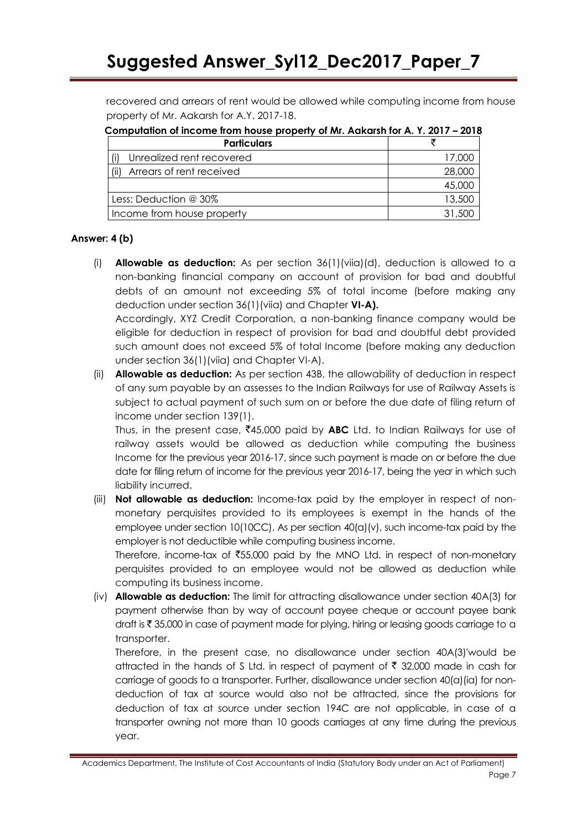recovered and arrears of rent would be allowed while computing income from house property of Mr. Aakarsh for A.Y. 2017-18.

| Componented the money non-needs property of Mil. Adicatal for A. T. Zuitz | - 40 I V |
|---------------------------------------------------------------------------|----------|
| <b>Particulars</b>                                                        |          |
| Unrealized rent recovered                                                 | 17,000   |
| Arrears of rent received                                                  | 28,000   |
|                                                                           | 45,000   |
| Less: Deduction @ 30%                                                     | 13,500   |
| Income from house property                                                | 31,500   |

**Computation of income from house property of Mr. Aakarsh for A. Y. 2017 – 2018**

# **Answer: 4 (b)**

(i) **Allowable as deduction:** As per section 36(1)(viia)(d), deduction is allowed to a non-banking financial company on account of provision for bad and doubtful debts of an amount not exceeding 5% of total income (before making any deduction under section 36(1)(viia) and Chapter **VI-A).**

Accordingly, XYZ Credit Corporation, a non-banking finance company would be eligible for deduction in respect of provision for bad and doubtful debt provided such amount does not exceed 5% of total Income (before making any deduction under section 36(1)(viia) and Chapter VI-A).

(ii) **Allowable as deduction:** As per section 43B, the allowability of deduction in respect of any sum payable by an assesses to the Indian Railways for use of Railway Assets is subject to actual payment of such sum on or before the due date of filing return of income under section 139(1).

Thus, in the present case,  $\overline{4}45,000$  paid by **ABC** Ltd. to Indian Railways for use of railway assets would be allowed as deduction while computing the business Income for the previous year 2016-17, since such payment is made on or before the due date for filing return of income for the previous year 2016-17, being the yea<sup>r</sup> in which such liability incurred.

(iii) **Not allowable as deduction:** Income-tax paid by the employer in respect of nonmonetary perquisites provided to its employees is exempt in the hands of the employee under section 10(10CC). As per section 40(a)(v), such income-tax paid by the employer is not deductible while computing business income.

Therefore, income-tax of ₹55,000 paid by the MNO Ltd. in respect of non-monetary perquisites provided to an employee would not be allowed as deduction while computing its business income.

(iv) **Allowable as deduction:** The limit for attracting disallowance under section 40A(3) for payment otherwise than by way of account payee cheque or account payee bank draft is ₹ 35,000 in case of payment made for plying, hiring or leasing goods carriage to a transporter.

Therefore, in the present case, no disallowance under section 40A(3)'would be attracted in the hands of S Ltd. in respect of payment of  $\bar{\tau}$  32,000 made in cash for carriage of goods to a transporter. Further, disallowance under section 40(a)(ia) for nondeduction of tax at source would also not be attracted, since the provisions for deduction of tax at source under section 194C are not applicable, in case of a transporter owning not more than 10 goods carriages at any time during the previous year.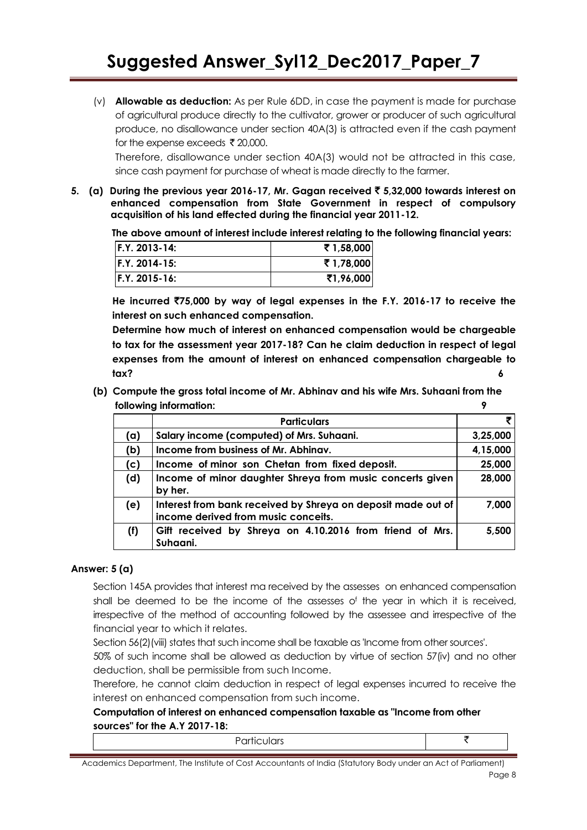(v) **Allowable as deduction:** As per Rule 6DD, in case the payment is made for purchase of agricultural produce directly to the cultivator, grower or producer of such agricultural produce, no disallowance under section 40A(3) is attracted even if the cash payment for the expense exceeds  $\bar{\tau}$  20,000.

Therefore, disallowance under section 40A(3) would not be attracted in this case, since cash payment for purchase of wheat is made directly to the farmer.

**5. (a) During the previous year 2016-17, Mr. Gagan received** ` **5,32,000 towards interest on enhanced compensation from State Government in respect of compulsory acquisition of his land effected during the financial year 2011-12.**

**The above amount of interest include interest relating to the following financial years:**

| $IF.Y. 2013-14:$ | ₹1,58,000 |
|------------------|-----------|
| $IF.Y. 2014-15:$ | ₹1,78,000 |
| IF.Y. 2015-16:   | ₹1,96,000 |

**He incurred** `**75,000 by way of legal expenses in the F.Y. 2016-17 to receive the interest on such enhanced compensation.**

**Determine how much of interest on enhanced compensation would be chargeable to tax for the assessment year 2017-18? Can he claim deduction in respect of legal expenses from the amount of interest on enhanced compensation chargeable to tax? 6**

**(b) Compute the gross total income of Mr. Abhinav and his wife Mrs. Suhaani from the following information: 9**

|     | <b>Particulars</b>                                                                                  | ₹        |
|-----|-----------------------------------------------------------------------------------------------------|----------|
| (a) | Salary income (computed) of Mrs. Suhaani.                                                           | 3,25,000 |
| (b) | Income from business of Mr. Abhinav.                                                                | 4,15,000 |
| (c) | Income of minor son Chetan from fixed deposit.                                                      | 25,000   |
| (d) | Income of minor daughter Shreya from music concerts given<br>by her.                                | 28,000   |
| (e) | Interest from bank received by Shreya on deposit made out of<br>income derived from music conceits. | 7,000    |
| (f) | Gift received by Shreya on 4.10.2016 from friend of Mrs.<br>Suhaani.                                | 5,500    |

#### **Answer: 5 (a)**

Section 145A provides that interest ma received by the assesses on enhanced compensation shall be deemed to be the income of the assesses o<sup>f</sup> the year in which it is received, irrespective of the method of accounting followed by the assessee and irrespective of the financial year to which it relates.

Section 56(2)(viii) states that such income shall be taxable as 'Income from other sources'.

50% of such income shall be allowed as deduction by virtue of section 57(iv) and no other deduction, shall be permissible from such Income.

Therefore, he cannot claim deduction in respect of legal expenses incurred to receive the interest on enhanced compensation from such income.

# **Computation of interest on enhanced compensation taxable as "Income from other sources" for the A.Y 2017-18:**

Academics Department, The Institute of Cost Accountants of India (Statutory Body under an Act of Parliament) Page 8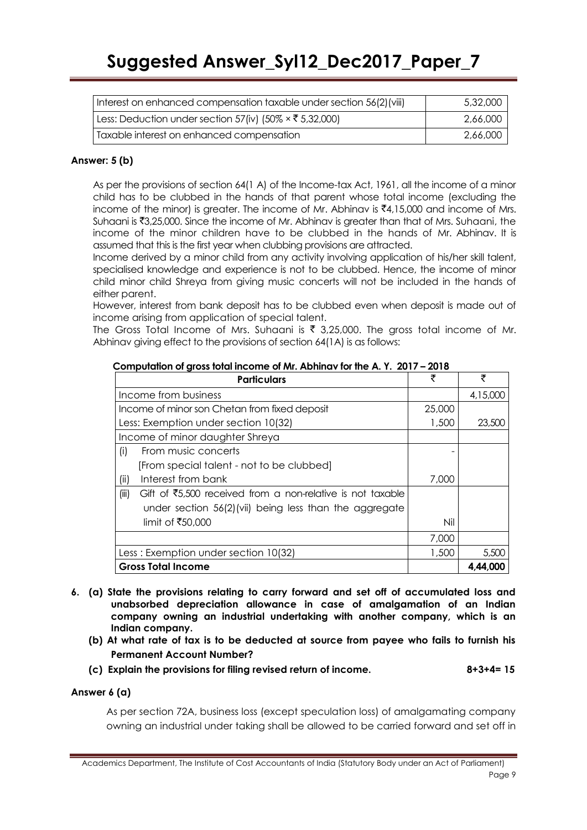| Interest on enhanced compensation taxable under section 56(2) (viii) | 5,32,000 |
|----------------------------------------------------------------------|----------|
| Less: Deduction under section 57(iv) (50% × ₹ 5,32,000)              | 2,66,000 |
| Taxable interest on enhanced compensation                            | 2.66.000 |

# **Answer: 5 (b)**

As per the provisions of section 64(1 A) of the Income-tax Act, 1961, all the income of a minor child has to be clubbed in the hands of that parent whose total income (excluding the income of the minor) is greater. The income of Mr. Abhinav is  $\bar{\bar{\tau}}4,15,000$  and income of Mrs. Suhaani is  $\overline{3},25,000$ . Since the income of Mr. Abhinav is greater than that of Mrs. Suhaani, the income of the minor children have to be clubbed in the hands of Mr. Abhinav. It is assumed that this is the first year when clubbing provisions are attracted.

Income derived by a minor child from any activity involving application of his/her skill talent, specialised knowledge and experience is not to be clubbed. Hence, the income of minor child minor child Shreya from giving music concerts will not be included in the hands of either parent.

However, interest from bank deposit has to be clubbed even when deposit is made out of income arising from application of special talent.

The Gross Total Income of Mrs. Suhaani is  $\bar{\tau}$  3,25,000. The gross total income of Mr. Abhinav giving effect to the provisions of section 64(1A) is as follows:

| <b>Particulars</b>                                                              | ₹      | ₹        |
|---------------------------------------------------------------------------------|--------|----------|
| Income from business                                                            |        | 4,15,000 |
| Income of minor son Chetan from fixed deposit                                   | 25,000 |          |
| Less: Exemption under section 10(32)                                            | 1,500  | 23,500   |
| Income of minor daughter Shreya                                                 |        |          |
| (i)<br>From music concerts                                                      |        |          |
| [From special talent - not to be clubbed]                                       |        |          |
| (ii)<br>Interest from bank                                                      | 7,000  |          |
| (iii)<br>Gift of $\overline{5,500}$ received from a non-relative is not taxable |        |          |
| under section 56(2)(vii) being less than the aggregate                          |        |          |
| limit of ₹50,000                                                                | Nil    |          |
|                                                                                 | 7,000  |          |
| Less: Exemption under section 10(32)                                            | 1,500  | 5,500    |
| <b>Gross Total Income</b>                                                       |        | 4,44,000 |

# **Computation of gross total income of Mr. Abhinav for the A. Y. 2017 – 2018**

- **6. (a) State the provisions relating to carry forward and set off of accumulated loss and unabsorbed depreciation allowance in case of amalgamation of an Indian company owning an industrial undertaking with another company, which is an Indian company.**
	- **(b) At what rate of tax is to be deducted at source from payee who fails to furnish his Permanent Account Number?**
	- **(c) Explain the provisions for filing revised return of income. 8+3+4= 15**

#### **Answer 6 (a)**

As per section 72A, business loss (except speculation loss) of amalgamating company owning an industrial under taking shall be allowed to be carried forward and set off in

Academics Department, The Institute of Cost Accountants of India (Statutory Body under an Act of Parliament) Page 9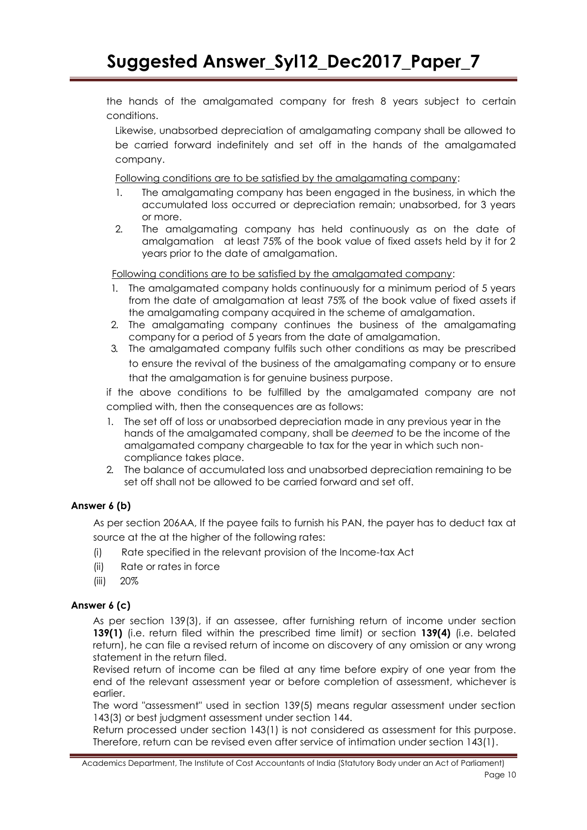the hands of the amalgamated company for fresh 8 years subject to certain conditions.

Likewise, unabsorbed depreciation of amalgamating company shall be allowed to be carried forward indefinitely and set off in the hands of the amalgamated company.

Following conditions are to be satisfied by the amalgamating company:

- 1. The amalgamating company has been engaged in the business, in which the accumulated loss occurred or depreciation remain; unabsorbed, for 3 years or more.
- 2. The amalgamating company has held continuously as on the date of amalgamation at least 75% of the book value of fixed assets held by it for 2 years prior to the date of amalgamation.

Following conditions are to be satisfied by the amalgamated company:

- 1. The amalgamated company holds continuously for a minimum period of 5 years from the date of amalgamation at least 75% of the book value of fixed assets if the amalgamating company acquired in the scheme of amalgamation.
- 2. The amalgamating company continues the business of the amalgamating company for a period of 5 years from the date of amalgamation.
- 3. The amalgamated company fulfils such other conditions as may be prescribed to ensure the revival of the business of the amalgamating company or to ensure that the amalgamation is for genuine business purpose.

if the above conditions to be fulfilled by the amalgamated company are not complied with, then the consequences are as follows:

- 1. The set off of loss or unabsorbed depreciation made in any previous year in the hands of the amalgamated company, shall be *deemed* to be the income of the amalgamated company chargeable to tax for the year in which such noncompliance takes place.
- 2. The balance of accumulated loss and unabsorbed depreciation remaining to be set off shall not be allowed to be carried forward and set off.

# **Answer 6 (b)**

As per section 206AA, If the payee fails to furnish his PAN, the payer has to deduct tax at source at the at the higher of the following rates:

- (i) Rate specified in the relevant provision of the Income-tax Act
- (ii) Rate or rates in force
- (iii) 20%

# **Answer 6 (c)**

As per section 139(3), if an assessee, after furnishing return of income under section **139(1)** (i.e. return filed within the prescribed time limit) or section **139(4)** (i.e. belated return), he can file a revised return of income on discovery of any omission or any wrong statement in the return filed.

Revised return of income can be filed at any time before expiry of one year from the end of the relevant assessment year or before completion of assessment, whichever is earlier.

The word "assessment" used in section 139(5) means regular assessment under section 143(3) or best judgment assessment under section 144.

Return processed under section 143(1) is not considered as assessment for this purpose. Therefore, return can be revised even after service of intimation under section 143(1).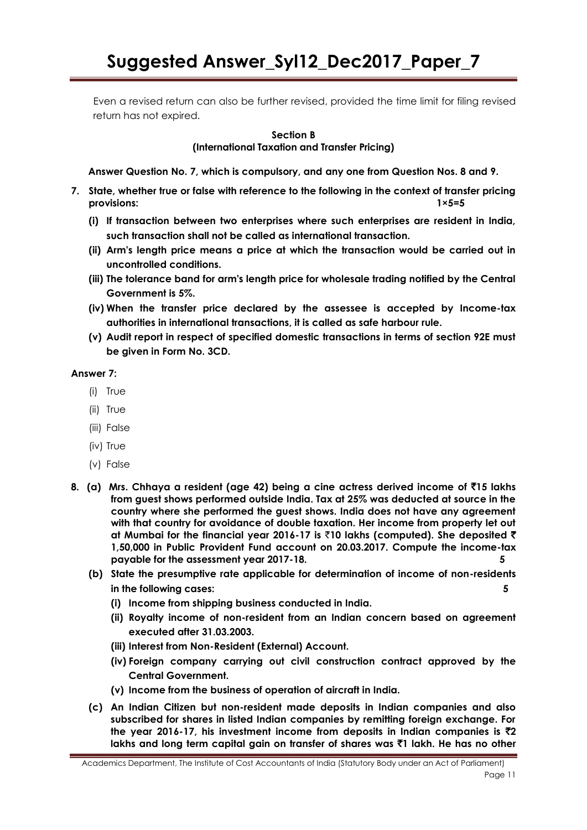Even a revised return can also be further revised, provided the time limit for filing revised return has not expired.

#### **Section B**

**(International Taxation and Transfer Pricing)**

**Answer Question No. 7, which is compulsory, and any one from Question Nos. 8 and 9.**

- **7. State, whether true or false with reference to the following in the context of transfer pricing provisions: 1×5=5**
	- **(i) If transaction between two enterprises where such enterprises are resident in India, such transaction shall not be called as international transaction.**
	- **(ii) Arm's length price means a price at which the transaction would be carried out in uncontrolled conditions.**
	- **(iii) The tolerance band for arm's length price for wholesale trading notified by the Central Government is 5%.**
	- **(iv) When the transfer price declared by the assessee is accepted by Income-tax authorities in international transactions, it is called as safe harbour rule.**
	- **(v) Audit report in respect of specified domestic transactions in terms of section 92E must be given in Form No. 3CD.**

#### **Answer 7:**

- (i) True
- (ii) True
- (iii) False
- (iv) True
- (v) False
- **8. (a) Mrs. Chhaya a resident (age 42) being a cine actress derived income of** `**15 lakhs from guest shows performed outside India. Tax at 25% was deducted at source in the country where she performed the guest shows. India does not have any agreement with that country for avoidance of double taxation. Her income from property let out at Mumbai for the financial year 2016-17 is** `**10 lakhs (computed). She deposited** ` **1,50,000 in Public Provident Fund account on 20.03.2017. Compute the income-tax payable for the assessment year 2017-18. 5**
	- **(b) State the presumptive rate applicable for determination of income of non-residents in the following cases: 5**
		- **(i) Income from shipping business conducted in India.**
		- **(ii) Royalty income of non-resident from an Indian concern based on agreement executed after 31.03.2003.**
		- **(iii) Interest from Non-Resident (External) Account.**
		- **(iv) Foreign company carrying out civil construction contract approved by the Central Government.**
		- **(v) Income from the business of operation of aircraft in India.**
	- **(c) An Indian Citizen but non-resident made deposits in Indian companies and also subscribed for shares in listed Indian companies by remitting foreign exchange. For the year 2016-17, his investment income from deposits in Indian companies is**  $\bar{z}$  **2 lakhs and long term capital gain on transfer of shares was** `**1 lakh. He has no other**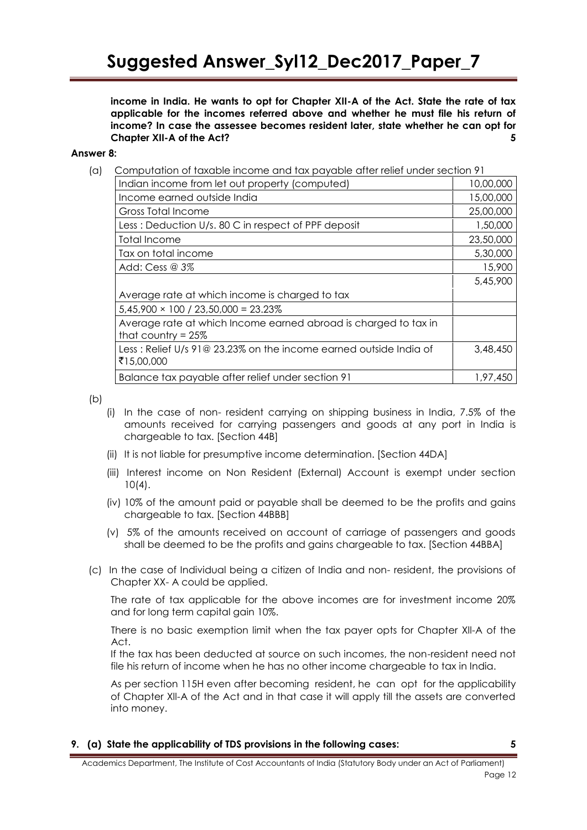**income in India. He wants to opt for Chapter XII-A of the Act. State the rate of tax applicable for the incomes referred above and whether he must file his return of income? In case the assessee becomes resident later, state whether he can opt for Chapter XII-A of the Act? 5**

#### **Answer 8:**

(a)Computation of taxable income and tax payable after relief under section 91

| Indian income from let out property (computed)                                           | 10,00,000 |
|------------------------------------------------------------------------------------------|-----------|
| Income earned outside India                                                              | 15,00,000 |
| Gross Total Income                                                                       | 25,00,000 |
| Less: Deduction U/s. 80 C in respect of PPF deposit                                      | 1,50,000  |
| Total Income                                                                             | 23,50,000 |
| Tax on total income                                                                      | 5,30,000  |
| Add: Cess $@3%$                                                                          | 15,900    |
|                                                                                          | 5,45,900  |
| Average rate at which income is charged to tax                                           |           |
| $5,45,900 \times 100 / 23,50,000 = 23.23\%$                                              |           |
| Average rate at which Income earned abroad is charged to tax in<br>that country $= 25\%$ |           |
| Less: Relief U/s 91@ 23.23% on the income earned outside India of<br>₹15,00,000          | 3,48,450  |
| Balance tax payable after relief under section 91                                        | 1,97,450  |

 $(b)$ 

- (i) In the case of non- resident carrying on shipping business in India, 7.5% of the amounts received for carrying passengers and goods at any port in India is chargeable to tax. [Section 44B]
- (ii) It is not liable for presumptive income determination. [Section 44DA]
- (iii) Interest income on Non Resident (External) Account is exempt under section 10(4).
- (iv) 10% of the amount paid or payable shall be deemed to be the profits and gains chargeable to tax. [Section 44BBB]
- (v) 5% of the amounts received on account of carriage of passengers and goods shall be deemed to be the profits and gains chargeable to tax. [Section 44BBA]
- (c) In the case of Individual being a citizen of India and non- resident, the provisions of Chapter XX- A could be applied.

The rate of tax applicable for the above incomes are for investment income 20% and for long term capital gain 10%.

There is no basic exemption limit when the tax payer opts for Chapter Xll-A of the Act.

If the tax has been deducted at source on such incomes, the non-resident need not file his return of income when he has no other income chargeable to tax in India.

As per section 115H even after becoming resident, he can opt for the applicability of Chapter Xll-A of the Act and in that case it will apply till the assets are converted into money.

**9. (a) State the applicability of TDS provisions in the following cases: 5**

Academics Department, The Institute of Cost Accountants of India (Statutory Body under an Act of Parliament) Page 12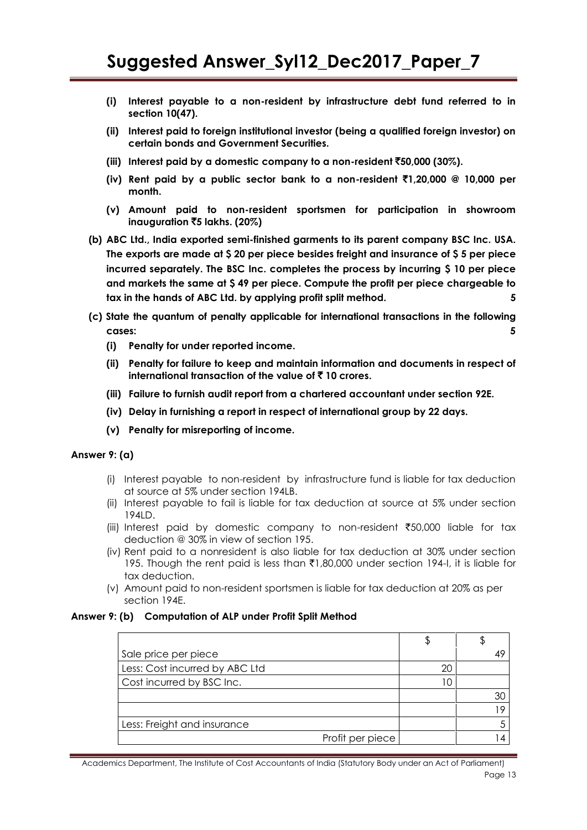- **(i) Interest payable to a non-resident by infrastructure debt fund referred to in section 10(47).**
- **(ii) Interest paid to foreign institutional investor (being a qualified foreign investor) on certain bonds and Government Securities.**
- **(iii) Interest paid by a domestic company to a non-resident** `**50,000 (30%).**
- **(iv) Rent paid by a public sector bank to a non-resident** `**1,20,000 @ 10,000 per month.**
- **(v) Amount paid to non-resident sportsmen for participation in showroom inauguration** `**5 lakhs. (20%)**
- **(b) ABC Ltd., India exported semi-finished garments to its parent company BSC Inc. USA. The exports are made at \$ 20 per piece besides freight and insurance of \$ 5 per piece incurred separately. The BSC Inc. completes the process by incurring \$ 10 per piece and markets the same at \$ 49 per piece. Compute the profit per piece chargeable to tax in the hands of ABC Ltd. by applying profit split method. 5**
- **(c) State the quantum of penalty applicable for international transactions in the following cases:** 5
	- **(i) Penalty for under reported income.**
	- **(ii) Penalty for failure to keep and maintain information and documents in respect of international transaction of the value of** ` **10 crores.**
	- **(iii) Failure to furnish audit report from a chartered accountant under section 92E.**
	- **(iv) Delay in furnishing a report in respect of international group by 22 days.**
	- **(v) Penalty for misreporting of income.**

#### **Answer 9: (a)**

- (i) Interest payable to non-resident by infrastructure fund is liable for tax deduction at source at 5% under section 194LB.
- (ii) Interest payable to fail is liable for tax deduction at source at 5% under section 194LD.
- (iii) Interest paid by domestic company to non-resident  $\overline{50,000}$  liable for tax deduction *@* 30% in view of section 195.
- (iv) Rent paid to a nonresident is also liable for tax deduction at 30% under section 195. Though the rent paid is less than  $\bar{\tau}1,80,000$  under section 194-I, it is liable for tax deduction.
- (v) Amount paid to non-resident sportsmen is liable for tax deduction at 20% as per section 194E.

#### **Answer 9: (b) Computation of ALP under Profit Split Method**

| Sale price per piece           |    |  |
|--------------------------------|----|--|
| Less: Cost incurred by ABC Ltd | 20 |  |
| Cost incurred by BSC Inc.      |    |  |
|                                |    |  |
|                                |    |  |
| Less: Freight and insurance    |    |  |
| Profit per piece               |    |  |